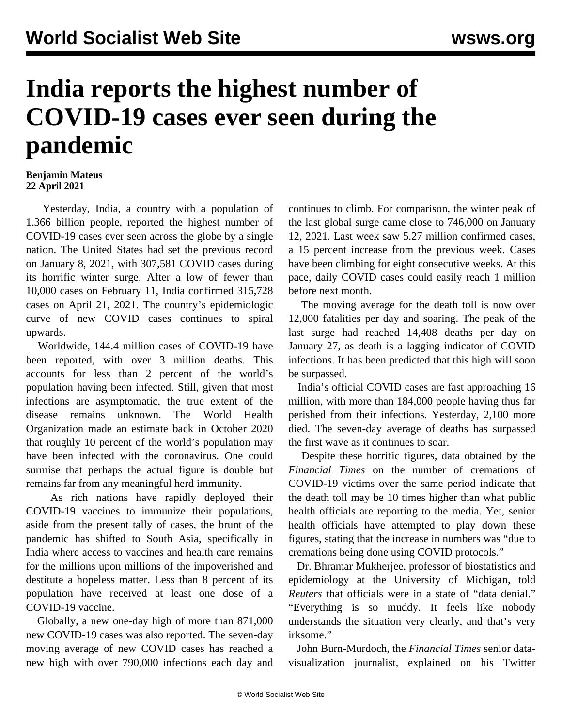## **India reports the highest number of COVID-19 cases ever seen during the pandemic**

## **Benjamin Mateus 22 April 2021**

 Yesterday, India, a country with a population of 1.366 billion people, reported the highest number of COVID-19 cases ever seen across the globe by a single nation. The United States had set the previous record on January 8, 2021, with 307,581 COVID cases during its horrific winter surge. After a low of fewer than 10,000 cases on February 11, India confirmed 315,728 cases on April 21, 2021. The country's epidemiologic curve of new COVID cases continues to spiral upwards.

 Worldwide, 144.4 million cases of COVID-19 have been reported, with over 3 million deaths. This accounts for less than 2 percent of the world's population having been infected. Still, given that most infections are asymptomatic, the true extent of the disease remains unknown. The World Health Organization made an estimate back in October 2020 that roughly 10 percent of the world's population may have been infected with the coronavirus. One could surmise that perhaps the actual figure is double but remains far from any meaningful herd immunity.

 As rich nations have rapidly deployed their COVID-19 vaccines to immunize their populations, aside from the present tally of cases, the brunt of the pandemic has shifted to South Asia, specifically in India where access to vaccines and health care remains for the millions upon millions of the impoverished and destitute a hopeless matter. Less than 8 percent of its population have received at least one dose of a COVID-19 vaccine.

 Globally, a new one-day high of more than 871,000 new COVID-19 cases was also reported. The seven-day moving average of new COVID cases has reached a new high with over 790,000 infections each day and continues to climb. For comparison, the winter peak of the last global surge came close to 746,000 on January 12, 2021. Last week saw 5.27 million confirmed cases, a 15 percent increase from the previous week. Cases have been climbing for eight consecutive weeks. At this pace, daily COVID cases could easily reach 1 million before next month.

 The moving average for the death toll is now over 12,000 fatalities per day and soaring. The peak of the last surge had reached 14,408 deaths per day on January 27, as death is a lagging indicator of COVID infections. It has been predicted that this high will soon be surpassed.

 India's official COVID cases are fast approaching 16 million, with more than 184,000 people having thus far perished from their infections. Yesterday, 2,100 more died. The seven-day average of deaths has surpassed the first wave as it continues to soar.

 Despite these horrific figures, data obtained by the *Financial Times* on the number of cremations of COVID-19 victims over the same period indicate that the death toll may be 10 times higher than what public health officials are reporting to the media. Yet, senior health officials have attempted to play down these figures, stating that the increase in numbers was "due to cremations being done using COVID protocols."

 Dr. Bhramar Mukherjee, professor of biostatistics and epidemiology at the University of Michigan, told *Reuters* that officials were in a state of "data denial." "Everything is so muddy. It feels like nobody understands the situation very clearly, and that's very irksome."

 John Burn-Murdoch, the *Financial Times* senior datavisualization journalist, explained on his Twitter